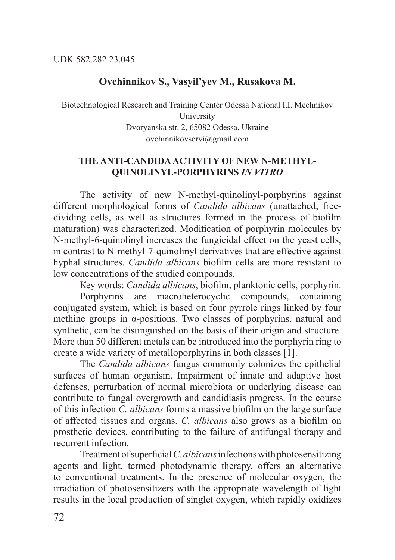## **Ovchinnikov S., Vasyil'yev M., Rusakova M.**

Biotechnological Research and Training Center Odessa National I.I. Mechnikov University Dvoryanska str. 2, 65082 Odessa, Ukraine ovchinnikovseryi@gmail.com

## **THE ANTI-CANDIDA ACTIVITY OF NEW N-METHYL-QUINOLINYL-PORPHYRINS** *IN VITRO*

The activity of new N-methyl-quinolinyl-porphyrins against different morphological forms of *Candida albicans* (unattached, freedividing cells, as well as structures formed in the process of biofilm maturation) was characterized. Modification of porphyrin molecules by N-methyl-6-quinolinyl increases the fungicidal effect on the yeast cells, in contrast to N-methyl-7-quinolinyl derivatives that are effective against hyphal structures. *Candida albicans* biofilm cells are more resistant to low concentrations of the studied compounds.

Кеу words: *Candida albicans*, biofilm, planktonic cells, porphyrin. Porphyrins are macroheterocyclic compounds, containing conjugated system, which is based on four pyrrole rings linked by four methine groups in α-positions. Two classes of porphyrins, natural and synthetic, can be distinguished on the basis of their origin and structure. More than 50 different metals can be introduced into the porphyrin ring to create a wide variety of metalloporphyrins in both classes [1].

The *Candida albicans* fungus commonly colonizes the epithelial surfaces of human organism. Impairment of innate and adaptive host defenses, perturbation of normal microbiota or underlying disease can contribute to fungal overgrowth and candidiasis progress. In the course of this infection *C. albicans* forms a massive biofilm on the large surface of affected tissues and organs. *C. albicans* also grows as a biofilm on prosthetic devices, contributing to the failure of antifungal therapy and recurrent infection.

Treatment of superficial *C. albicans* infections with photosensitizing agents and light, termed photodynamic therapy, offers an alternative to conventional treatments. In the presence of molecular oxygen, the irradiation of photosensitizers with the appropriate wavelength of light results in the local production of singlet oxygen, which rapidly oxidizes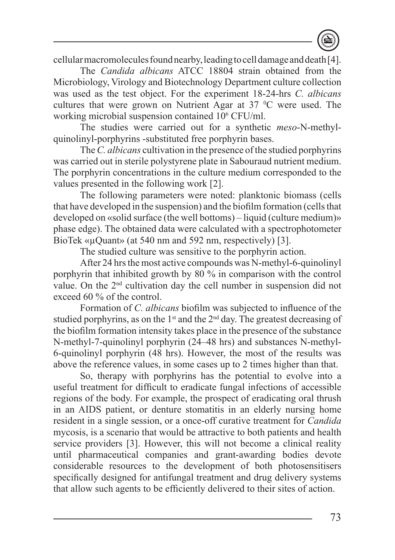cellular macromolecules found nearby, leading to cell damage and death [4].

The *Candіda albіcans* ATCC 18804 strain obtained from the Microbiology, Virology and Biotechnology Department culture collection was used as the test object. For the experiment 18-24-hrs *C. albіcans*  cultures that were grown on Nutrient Agar at  $37 \degree C$  were used. The working microbial suspension contained 106 CFU/ml.

The studies were carried out for a synthetic *meso*-N-methylquinolinyl-porphyrins -substituted free porphyrin bases.

The *C. albіcans* cultivation in the presence of the studied porphyrins was carried out in sterile polystyrene plate in Sabouraud nutrient medium. The porphyrin concentrations in the culture medium corresponded to the values presented in the following work [2].

The following parameters were noted: planktonic biomass (cells that have developed in the suspension) and the biofilm formation (cells that developed on «solid surface (the well bottoms) – liquid (culture medium)» phase edge). The obtained data were calculated with a spectrophotometer BioTek «µQuant» (at 540 nm and 592 nm, respectively) [3].

The studied culture was sensitive to the porphyrin action.

After 24 hrs the most active compounds was N-methyl-6-quinolinyl porphyrin that inhibited growth by 80 % in comparison with the control value. On the 2nd cultivation day the cell number in suspension did not exceed 60 % of the control.

Formation of *C. albіcans* biofilm was subjected to influence of the studied porphyrins, as on the  $1<sup>st</sup>$  and the  $2<sup>nd</sup>$  day. The greatest decreasing of the biofilm formation intensity takes place in the presence of the substance N-methyl-7-quinolinyl porphyrin (24–48 hrs) and substances N-methyl-6-quinolinyl porphyrin (48 hrs). However, the most of the results was above the reference values, in some cases up to 2 times higher than that.

So, therapy with porphyrins has the potential to evolve into a useful treatment for difficult to eradicate fungal infections of accessible regions of the body. For example, the prospect of eradicating oral thrush in an AIDS patient, or denture stomatitis in an elderly nursing home resident in a single session, or a once-off curative treatment for *Candida*  mycosis, is a scenario that would be attractive to both patients and health service providers [3]. However, this will not become a clinical reality until pharmaceutical companies and grant-awarding bodies devote considerable resources to the development of both photosensitisers specifically designed for antifungal treatment and drug delivery systems that allow such agents to be efficiently delivered to their sites of action.